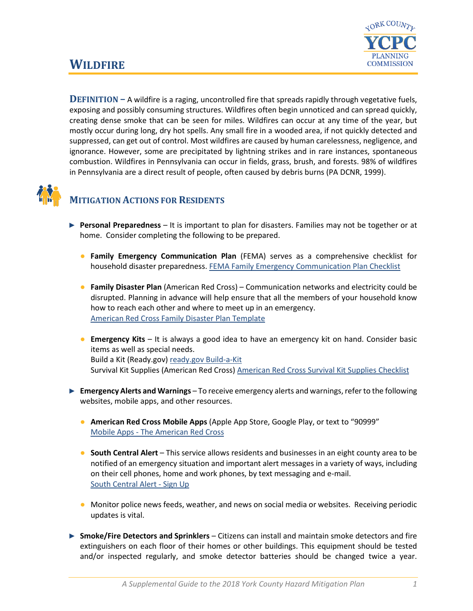

# **WILDFIRE**

**DEFINITION –** A wildfire is a raging, uncontrolled fire that spreads rapidly through vegetative fuels, exposing and possibly consuming structures. Wildfires often begin unnoticed and can spread quickly, creating dense smoke that can be seen for miles. Wildfires can occur at any time of the year, but mostly occur during long, dry hot spells. Any small fire in a wooded area, if not quickly detected and suppressed, can get out of control. Most wildfires are caused by human carelessness, negligence, and ignorance. However, some are precipitated by lightning strikes and in rare instances, spontaneous combustion. Wildfires in Pennsylvania can occur in fields, grass, brush, and forests. 98% of wildfires in Pennsylvania are a direct result of people, often caused by debris burns (PA DCNR, 1999).



#### **MITIGATION ACTIONS FOR RESIDENTS**

- ► **Personal Preparedness** It is important to plan for disasters. Families may not be together or at home. Consider completing the following to be prepared.
	- **Family Emergency Communication Plan** (FEMA) serves as a comprehensive checklist for household disaster preparedness. [FEMA Family Emergency Communication Plan Checklist](https://www.fema.gov/media-library-data/1530826217620-10775bfcb5d7600be8e6b88308b24d8c/P1094_CreateYourFamilyEmergencyCommunicationPlan_070318.pdf)
	- **Family Disaster Plan** (American Red Cross) Communication networks and electricity could be disrupted. Planning in advance will help ensure that all the members of your household know how to reach each other and where to meet up in an emergency. [American Red Cross Family Disaster Plan Template](https://www.redcross.org/content/dam/redcross/atg/PDF_s/Preparedness___Disaster_Recovery/General_Preparedness___Recovery/Home/ARC_Family_Disaster_Plan_Template_r083012.pdf)
	- **Emergency Kits** It is always a good idea to have an emergency kit on hand. Consider basic items as well as special needs. Build a Kit (Ready.gov) [ready.gov Build-a-Kit](https://www.ready.gov/build-a-kit) Survival Kit Supplies (American Red Cross) [American Red Cross Survival Kit Supplies Checklist](https://www.redcross.org/get-help/how-to-prepare-for-emergencies/survival-kit-supplies.html)
- ► **Emergency Alerts and Warnings** To receive emergency alerts and warnings, refer to the following websites, mobile apps, and other resources.
	- **American Red Cross Mobile Apps** (Apple App Store, Google Play, or text to "90999" Mobile Apps - [The American Red Cross](https://www.redcross.org/get-help/how-to-prepare-for-emergencies/mobile-apps.html)
	- **South Central Alert** This service allows residents and businesses in an eight county area to be notified of an emergency situation and important alert messages in a variety of ways, including on their cell phones, home and work phones, by text messaging and e-mail. [South Central Alert -](https://www.sctfpa.org/sc-alert.php) Sign Up
	- Monitor police news feeds, weather, and news on social media or websites. Receiving periodic updates is vital.
- ► **Smoke/Fire Detectors and Sprinklers** Citizens can install and maintain smoke detectors and fire extinguishers on each floor of their homes or other buildings. This equipment should be tested and/or inspected regularly, and smoke detector batteries should be changed twice a year.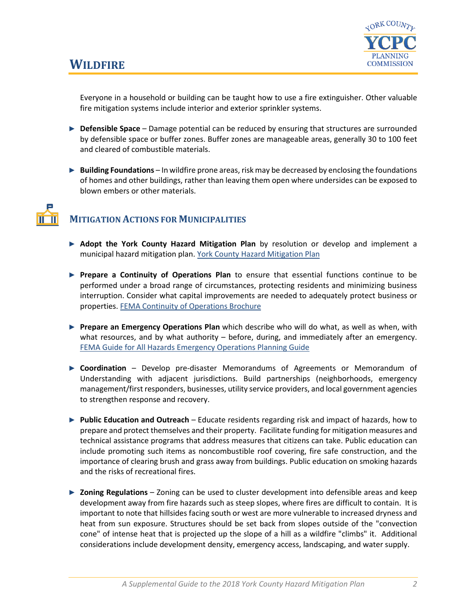

## **WILDFIRE**

Everyone in a household or building can be taught how to use a fire extinguisher. Other valuable fire mitigation systems include interior and exterior sprinkler systems.

- ► **Defensible Space** Damage potential can be reduced by ensuring that structures are surrounded by defensible space or buffer zones. Buffer zones are manageable areas, generally 30 to 100 feet and cleared of combustible materials.
- ► **Building Foundations** In wildfire prone areas, risk may be decreased by enclosing the foundations of homes and other buildings, rather than leaving them open where undersides can be exposed to blown embers or other materials.

### **MITIGATION ACTIONS FOR MUNICIPALITIES**

- ► **Adopt the York County Hazard Mitigation Plan** by resolution or develop and implement a municipal hazard mitigation plan. [York County Hazard Mitigation Plan](http://ycpc.org/DocumentCenter/View/290/Hazard-Mitigation-Plan-PDF)
- ► **Prepare a Continuity of Operations Plan** to ensure that essential functions continue to be performed under a broad range of circumstances, protecting residents and minimizing business interruption. Consider what capital improvements are needed to adequately protect business or properties[. FEMA Continuity of Operations Brochure](https://www.fema.gov/pdf/about/org/ncp/coop_brochure.pdf)
- ► **Prepare an Emergency Operations Plan** which describe who will do what, as well as when, with what resources, and by what authority – before, during, and immediately after an emergency. [FEMA Guide for All Hazards Emergency Operations Planning Guide](https://www.fema.gov/pdf/plan/slg101.pdf)
- ► **Coordination** Develop pre-disaster Memorandums of Agreements or Memorandum of Understanding with adjacent jurisdictions. Build partnerships (neighborhoods, emergency management/first responders, businesses, utility service providers, and local government agencies to strengthen response and recovery.
- ► **Public Education and Outreach** Educate residents regarding risk and impact of hazards, how to prepare and protect themselves and their property. Facilitate funding for mitigation measures and technical assistance programs that address measures that citizens can take. Public education can include promoting such items as noncombustible roof covering, fire safe construction, and the importance of clearing brush and grass away from buildings. Public education on smoking hazards and the risks of recreational fires.
- ► **Zoning Regulations** Zoning can be used to cluster development into defensible areas and keep development away from fire hazards such as steep slopes, where fires are difficult to contain. It is important to note that hillsides facing south or west are more vulnerable to increased dryness and heat from sun exposure. Structures should be set back from slopes outside of the "convection cone" of intense heat that is projected up the slope of a hill as a wildfire "climbs" it. Additional considerations include development density, emergency access, landscaping, and water supply.